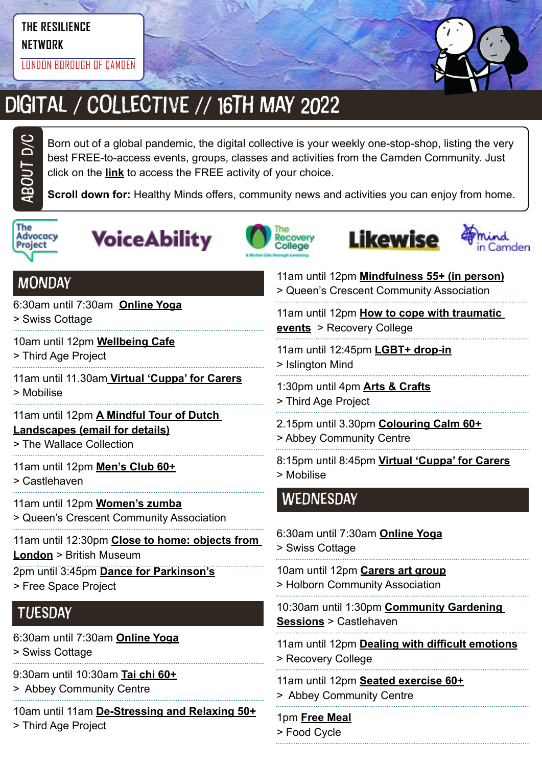# **THE RESILIENCE**

**NETWORK**

LONDON BOROUGH OF CAMDEN



# DIGITAL / COLLECTIVE // 16TH MAY 2022

Born out of a global pandemic, the digital collective is your weekly one-stop-shop, listing the very best FREE-to-access events, groups, classes and activities from the Camden Community. Just click on the **link** to access the FREE activity of your choice.

**Scroll down for:** Healthy Minds offers, community news and activities you can enjoy from home.



ABOUt D/C







11am until 12pm **[Mindfulness 55+ \(in person\)](https://twitter.com/QCCA_ltd/status/1514271932044255238)**



### **MONDAY**

6:30am until 7:30am **[Online Yoga](https://yourswiss.org/)**

> Swiss Cottage

- 10am until 12pm **[Wellbeing Cafe](https://thirdageproject.org.uk/calendar/)**
- > Third Age Project
- 11am until 11.30am **[Virtual 'Cuppa' for Carers](https://www.mobiliseonline.co.uk/cuppa)** > Mobilise

#### 11am until 12pm **[A Mindful Tour of Dutch](mailto:community%40wallacecollection.org?subject=A%20Mindful%20Tour%20of%20Dutch%20Landscapes)  [Landscapes \(email for details\)](mailto:community%40wallacecollection.org?subject=A%20Mindful%20Tour%20of%20Dutch%20Landscapes)**

> The Wallace Collection

- 11am until 12pm **[Men's Club 60+](https://www.castlehaven.org.uk/whats-on/event/2539/)**
- > Castlehaven
- 11am until 12pm **[Women's zumba](https://twitter.com/QCCA_ltd/status/1441030606608027653/photo/1)** > Queen's Crescent Community Association
- 11am until 12:30pm **[Close to home: objects from](https://www.webenrol.com/camden/Default.asp?page=detail&courseCode=CACL01C21&catID=5&locationID=&)  [London](https://www.webenrol.com/camden/Default.asp?page=detail&courseCode=CACL01C21&catID=5&locationID=&)** > British Museum
- 2pm until 3:45pm **[Dance for Parkinson's](https://www.freespaceproject.org/blog/dance-for-parkinsons)** > Free Space Project

## **TUESDAY**

- 6:30am until 7:30am **[Online Yoga](https://yourswiss.org/)**
- > Swiss Cottage
- 9:30am until 10:30am **[Tai chi 60+](https://abbeycc-kilburn.org.uk/wp-content/uploads/2020/03/January-2022-programme.pdf)**
- > Abbey Community Centre
- 10am until 11am **[De-Stressing and Relaxing 50+](https://mcusercontent.com/ea2facf10e2b0030d86ac8775/images/7b7e1a43-b1d4-46e2-9a1c-220235255224.jpg?fbclid=IwAR3OeQ_6KX5rCiRFaTvQ2osfj66ekG8CeO0OVWDTfpWugvLoPIhuUhJObyU)**

> Third Age Project

- > Queen's Crescent Community Association 11am until 12pm **[How to cope with traumatic](https://www.candi.nhs.uk/sites/default/files/Summer%202022%20Courses%20alphabetical%20list%20and%20calendar.pdf)  [events](https://www.candi.nhs.uk/sites/default/files/Summer%202022%20Courses%20alphabetical%20list%20and%20calendar.pdf)** > Recovery College 11am until 12:45pm **[LGBT+ drop-in](https://www.islingtonmind.org.uk/our-services/mhrp/virtual-support-services/)** > Islington Mind 1:30pm until 4pm **[Arts & Crafts](https://twitter.com/ThirdAgeProject/status/1483392643849756675/photo/2)** > Third Age Project 2.15pm until 3.30pm **[Colouring Calm 60+](https://abbeycc-kilburn.org.uk/wp-content/uploads/2020/03/January-2022-programme.pdf)** > Abbey Community Centre 8:15pm until 8:45pm **[Virtual 'Cuppa' for Carers](https://www.mobiliseonline.co.uk/cuppa)** > Mobilise 6:30am until 7:30am **[Online Yoga](https://yourswiss.org/)** > Swiss Cottage 10am until 12pm **[Carers art group](https://www.holborncommunity.co.uk/events/carers-art-group-2021-04-07/) WEDNESDAY**
- > Holborn Community Association
- 10:30am until 1:30pm **[Community Gardening](https://www.castlehaven.org.uk/whats-on/event/1459/)  [Sessions](https://www.castlehaven.org.uk/whats-on/event/1459/)** > Castlehaven
- 11am until 12pm **[Dealing with difficult emotions](https://www.candi.nhs.uk/sites/default/files/Summer%202022%20Courses%20alphabetical%20list%20and%20calendar.pdf)** > Recovery College
- 11am until 12pm **[Seated exercise 60+](https://abbeycc-kilburn.org.uk/wp-content/uploads/2020/03/January-2022-programme.pdf)** > Abbey Community Centre
- 1pm **[Free Meal](https://www.foodcycle.org.uk/location/london-islington/)** > Food Cycle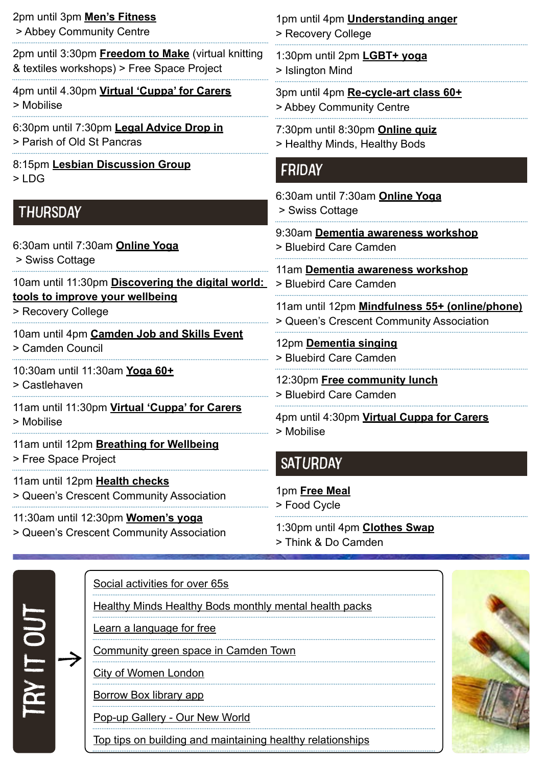| 2pm until 3pm Men's Fitness<br>> Abbey Community Centre                                                                                                          | 1pm until 4pm <b>Understanding anger</b><br>> Recovery College                                                                                                                          |
|------------------------------------------------------------------------------------------------------------------------------------------------------------------|-----------------------------------------------------------------------------------------------------------------------------------------------------------------------------------------|
| 2pm until 3:30pm <b>Freedom to Make</b> (virtual knitting<br>& textiles workshops) > Free Space Project                                                          | 1:30pm until 2pm LGBT+ yoga<br>> Islington Mind                                                                                                                                         |
| 4pm until 4.30pm Virtual 'Cuppa' for Carers<br>> Mobilise                                                                                                        | 3pm until 4pm Re-cycle-art class 60+<br>> Abbey Community Centre                                                                                                                        |
| 6:30pm until 7:30pm Legal Advice Drop in<br>> Parish of Old St Pancras                                                                                           | 7:30pm until 8:30pm <b>Online quiz</b><br>> Healthy Minds, Healthy Bods                                                                                                                 |
| 8:15pm Lesbian Discussion Group<br>$>$ LDG                                                                                                                       | FRIDAY                                                                                                                                                                                  |
| <b>THURSDAY</b>                                                                                                                                                  | 6:30am until 7:30am Online Yoga<br>> Swiss Cottage                                                                                                                                      |
| 6:30am until 7:30am Online Yoga<br>> Swiss Cottage<br>10am until 11:30pm Discovering the digital world:<br>tools to improve your wellbeing<br>> Recovery College | 9:30am Dementia awareness workshop<br>> Bluebird Care Camden                                                                                                                            |
|                                                                                                                                                                  | 11am Dementia awareness workshop<br>> Bluebird Care Camden                                                                                                                              |
|                                                                                                                                                                  | 11am until 12pm Mindfulness 55+ (online/phone)<br>> Queen's Crescent Community Association                                                                                              |
| 10am until 4pm Camden Job and Skills Event<br>> Camden Council                                                                                                   | 12pm Dementia singing<br>> Bluebird Care Camden<br>12:30pm Free community lunch<br>> Bluebird Care Camden<br>4pm until 4:30pm Virtual Cuppa for Carers<br>> Mobilise<br><b>SATURDAY</b> |
| 10:30am until 11:30am Yoga 60+<br>> Castlehaven                                                                                                                  |                                                                                                                                                                                         |
| 11am until 11:30pm Virtual 'Cuppa' for Carers<br>> Mobilise                                                                                                      |                                                                                                                                                                                         |
| 11am until 12pm Breathing for Wellbeing<br>> Free Space Project                                                                                                  |                                                                                                                                                                                         |
| 11am until 12pm Health checks<br>> Queen's Crescent Community Association                                                                                        | 1pm Free Meal                                                                                                                                                                           |
| 11:30am until 12:30pm Women's yoga<br>> Queen's Crescent Community Association                                                                                   | > Food Cycle<br>1:30pm until 4pm <b>Clothes Swap</b>                                                                                                                                    |

> Queen's Crescent Community Association

> Think & Do Camden